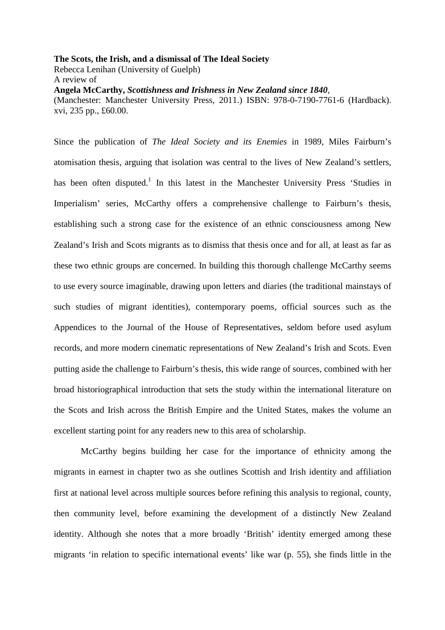**The Scots, the Irish, and a dismissal of The Ideal Society**  Rebecca Lenihan (University of Guelph) A review of **Angela McCarthy,** *Scottishness and Irishness in New Zealand since 1840*, (Manchester: Manchester University Press, 2011.) ISBN: 978-0-7190-7761-6 (Hardback). xvi, 235 pp., £60.00.

Since the publication of *The Ideal Society and its Enemies* in 1989, Miles Fairburn's atomisation thesis, arguing that isolation was central to the lives of New Zealand's settlers, has been often disputed.<sup>1</sup> In this latest in the Manchester University Press 'Studies in Imperialism' series, McCarthy offers a comprehensive challenge to Fairburn's thesis, establishing such a strong case for the existence of an ethnic consciousness among New Zealand's Irish and Scots migrants as to dismiss that thesis once and for all, at least as far as these two ethnic groups are concerned. In building this thorough challenge McCarthy seems to use every source imaginable, drawing upon letters and diaries (the traditional mainstays of such studies of migrant identities), contemporary poems, official sources such as the Appendices to the Journal of the House of Representatives, seldom before used asylum records, and more modern cinematic representations of New Zealand's Irish and Scots. Even putting aside the challenge to Fairburn's thesis, this wide range of sources, combined with her broad historiographical introduction that sets the study within the international literature on the Scots and Irish across the British Empire and the United States, makes the volume an excellent starting point for any readers new to this area of scholarship.

McCarthy begins building her case for the importance of ethnicity among the migrants in earnest in chapter two as she outlines Scottish and Irish identity and affiliation first at national level across multiple sources before refining this analysis to regional, county, then community level, before examining the development of a distinctly New Zealand identity. Although she notes that a more broadly 'British' identity emerged among these migrants 'in relation to specific international events' like war (p. 55), she finds little in the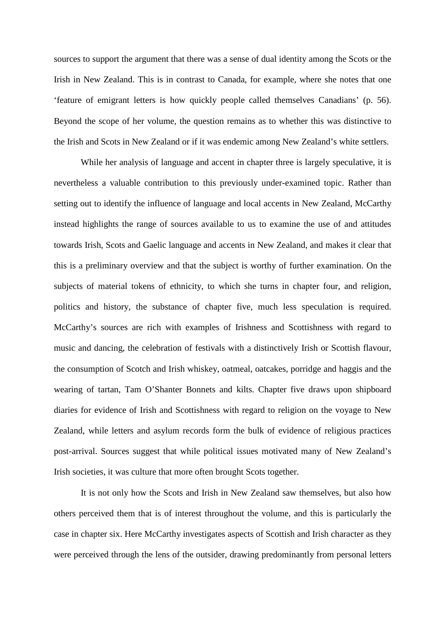sources to support the argument that there was a sense of dual identity among the Scots or the Irish in New Zealand. This is in contrast to Canada, for example, where she notes that one 'feature of emigrant letters is how quickly people called themselves Canadians' (p. 56). Beyond the scope of her volume, the question remains as to whether this was distinctive to the Irish and Scots in New Zealand or if it was endemic among New Zealand's white settlers.

While her analysis of language and accent in chapter three is largely speculative, it is nevertheless a valuable contribution to this previously under-examined topic. Rather than setting out to identify the influence of language and local accents in New Zealand, McCarthy instead highlights the range of sources available to us to examine the use of and attitudes towards Irish, Scots and Gaelic language and accents in New Zealand, and makes it clear that this is a preliminary overview and that the subject is worthy of further examination. On the subjects of material tokens of ethnicity, to which she turns in chapter four, and religion, politics and history, the substance of chapter five, much less speculation is required. McCarthy's sources are rich with examples of Irishness and Scottishness with regard to music and dancing, the celebration of festivals with a distinctively Irish or Scottish flavour, the consumption of Scotch and Irish whiskey, oatmeal, oatcakes, porridge and haggis and the wearing of tartan, Tam O'Shanter Bonnets and kilts. Chapter five draws upon shipboard diaries for evidence of Irish and Scottishness with regard to religion on the voyage to New Zealand, while letters and asylum records form the bulk of evidence of religious practices post-arrival. Sources suggest that while political issues motivated many of New Zealand's Irish societies, it was culture that more often brought Scots together.

It is not only how the Scots and Irish in New Zealand saw themselves, but also how others perceived them that is of interest throughout the volume, and this is particularly the case in chapter six. Here McCarthy investigates aspects of Scottish and Irish character as they were perceived through the lens of the outsider, drawing predominantly from personal letters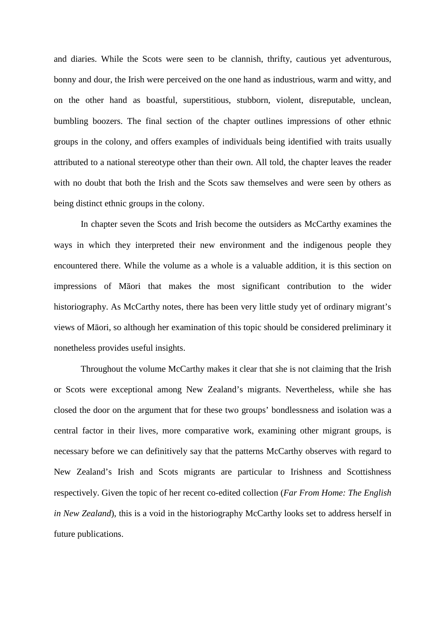and diaries. While the Scots were seen to be clannish, thrifty, cautious yet adventurous, bonny and dour, the Irish were perceived on the one hand as industrious, warm and witty, and on the other hand as boastful, superstitious, stubborn, violent, disreputable, unclean, bumbling boozers. The final section of the chapter outlines impressions of other ethnic groups in the colony, and offers examples of individuals being identified with traits usually attributed to a national stereotype other than their own. All told, the chapter leaves the reader with no doubt that both the Irish and the Scots saw themselves and were seen by others as being distinct ethnic groups in the colony.

In chapter seven the Scots and Irish become the outsiders as McCarthy examines the ways in which they interpreted their new environment and the indigenous people they encountered there. While the volume as a whole is a valuable addition, it is this section on impressions of Māori that makes the most significant contribution to the wider historiography. As McCarthy notes, there has been very little study yet of ordinary migrant's views of Māori, so although her examination of this topic should be considered preliminary it nonetheless provides useful insights.

Throughout the volume McCarthy makes it clear that she is not claiming that the Irish or Scots were exceptional among New Zealand's migrants. Nevertheless, while she has closed the door on the argument that for these two groups' bondlessness and isolation was a central factor in their lives, more comparative work, examining other migrant groups, is necessary before we can definitively say that the patterns McCarthy observes with regard to New Zealand's Irish and Scots migrants are particular to Irishness and Scottishness respectively. Given the topic of her recent co-edited collection (*Far From Home: The English in New Zealand*), this is a void in the historiography McCarthy looks set to address herself in future publications.